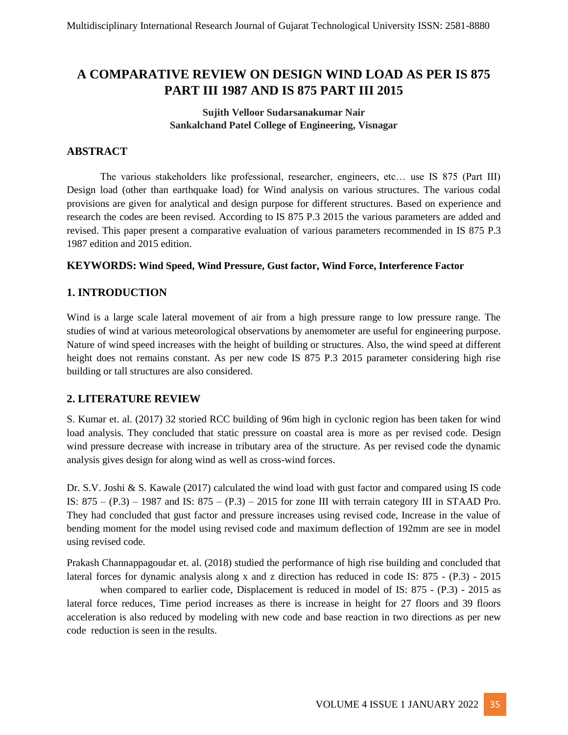# **A COMPARATIVE REVIEW ON DESIGN WIND LOAD AS PER IS 875 PART III 1987 AND IS 875 PART III 2015**

#### **Sujith Velloor Sudarsanakumar Nair Sankalchand Patel College of Engineering, Visnagar**

### **ABSTRACT**

The various stakeholders like professional, researcher, engineers, etc… use IS 875 (Part III) Design load (other than earthquake load) for Wind analysis on various structures. The various codal provisions are given for analytical and design purpose for different structures. Based on experience and research the codes are been revised. According to IS 875 P.3 2015 the various parameters are added and revised. This paper present a comparative evaluation of various parameters recommended in IS 875 P.3 1987 edition and 2015 edition.

#### **KEYWORDS: Wind Speed, Wind Pressure, Gust factor, Wind Force, Interference Factor**

### **1. INTRODUCTION**

Wind is a large scale lateral movement of air from a high pressure range to low pressure range. The studies of wind at various meteorological observations by anemometer are useful for engineering purpose. Nature of wind speed increases with the height of building or structures. Also, the wind speed at different height does not remains constant. As per new code IS 875 P.3 2015 parameter considering high rise building or tall structures are also considered.

#### **2. LITERATURE REVIEW**

S. Kumar et. al. (2017) 32 storied RCC building of 96m high in cyclonic region has been taken for wind load analysis. They concluded that static pressure on coastal area is more as per revised code. Design wind pressure decrease with increase in tributary area of the structure. As per revised code the dynamic analysis gives design for along wind as well as cross-wind forces.

Dr. S.V. Joshi & S. Kawale (2017) calculated the wind load with gust factor and compared using IS code IS:  $875 - (P.3) - 1987$  and IS:  $875 - (P.3) - 2015$  for zone III with terrain category III in STAAD Pro. They had concluded that gust factor and pressure increases using revised code, Increase in the value of bending moment for the model using revised code and maximum deflection of 192mm are see in model using revised code.

Prakash Channappagoudar et. al. (2018) studied the performance of high rise building and concluded that lateral forces for dynamic analysis along x and z direction has reduced in code IS: 875 - (P.3) - 2015

when compared to earlier code, Displacement is reduced in model of IS: 875 - (P.3) - 2015 as lateral force reduces, Time period increases as there is increase in height for 27 floors and 39 floors acceleration is also reduced by modeling with new code and base reaction in two directions as per new code reduction is seen in the results.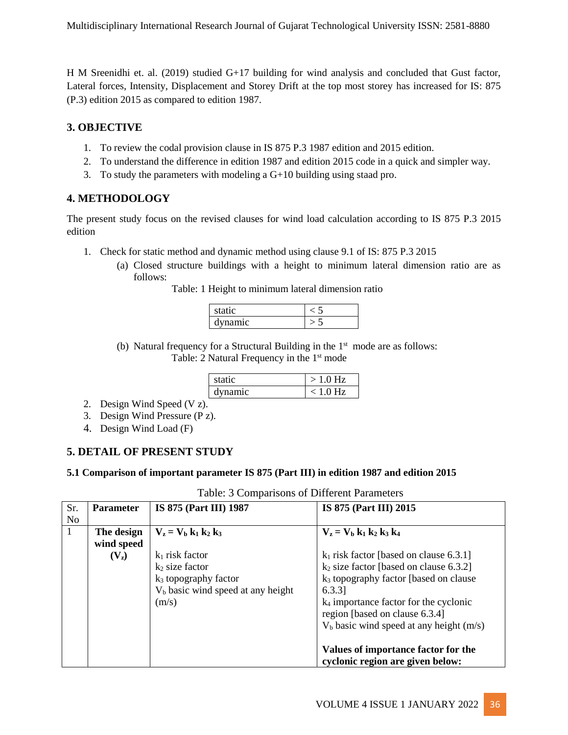H M Sreenidhi et. al. (2019) studied G+17 building for wind analysis and concluded that Gust factor, Lateral forces, Intensity, Displacement and Storey Drift at the top most storey has increased for IS: 875 (P.3) edition 2015 as compared to edition 1987.

### **3. OBJECTIVE**

- 1. To review the codal provision clause in IS 875 P.3 1987 edition and 2015 edition.
- 2. To understand the difference in edition 1987 and edition 2015 code in a quick and simpler way.
- 3. To study the parameters with modeling a  $G+10$  building using staad pro.

### **4. METHODOLOGY**

The present study focus on the revised clauses for wind load calculation according to IS 875 P.3 2015 edition

- 1. Check for static method and dynamic method using clause 9.1 of IS: 875 P.3 2015
	- (a) Closed structure buildings with a height to minimum lateral dimension ratio are as follows:

Table: 1 Height to minimum lateral dimension ratio

| static  |  |
|---------|--|
| dynamic |  |

(b) Natural frequency for a Structural Building in the  $1<sup>st</sup>$  mode are as follows: Table: 2 Natural Frequency in the 1<sup>st</sup> mode

| static  | $>1.0$ Hz  |
|---------|------------|
| dynamic | $< 1.0$ Hz |

- 2. Design Wind Speed (V z).
- 3. Design Wind Pressure (P z).
- 4. Design Wind Load (F)

# **5. DETAIL OF PRESENT STUDY**

#### **5.1 Comparison of important parameter IS 875 (Part III) in edition 1987 and edition 2015**

| Sr.            | <b>Parameter</b> | IS 875 (Part III) 1987              | IS 875 (Part III) 2015                             |
|----------------|------------------|-------------------------------------|----------------------------------------------------|
| N <sub>o</sub> |                  |                                     |                                                    |
|                | The design       | $V_{z} = V_{b} k_{1} k_{2} k_{3}$   | $V_{z} = V_{b} k_{1} k_{2} k_{3} k_{4}$            |
|                | wind speed       |                                     |                                                    |
|                | $(V_2)$          | $k_1$ risk factor                   | $k_1$ risk factor [based on clause 6.3.1]          |
|                |                  | $k_2$ size factor                   | $k_2$ size factor [based on clause 6.3.2]          |
|                |                  | $k_3$ topography factor             | k <sub>3</sub> topography factor [based on clause] |
|                |                  | $Vb$ basic wind speed at any height | 6.3.3]                                             |
|                |                  | (m/s)                               | $k_4$ importance factor for the cyclonic           |
|                |                  |                                     | region [based on clause 6.3.4]                     |
|                |                  |                                     | $V_b$ basic wind speed at any height (m/s)         |
|                |                  |                                     |                                                    |
|                |                  |                                     | Values of importance factor for the                |
|                |                  |                                     | cyclonic region are given below:                   |

Table: 3 Comparisons of Different Parameters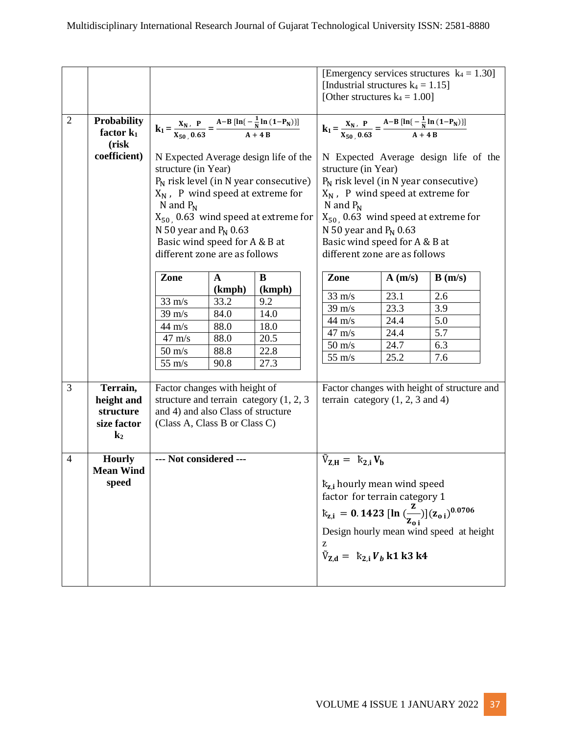|                |                                             |                                                                                                                                                                                                                                                                                                           |              |        |                                                                                                                                                                                                                                                                                                           | [Emergency services structures $k_4 = 1.30$ ]<br>[Industrial structures $k_4 = 1.15$ ]<br>[Other structures $k_4 = 1.00$ ] |        |        |  |
|----------------|---------------------------------------------|-----------------------------------------------------------------------------------------------------------------------------------------------------------------------------------------------------------------------------------------------------------------------------------------------------------|--------------|--------|-----------------------------------------------------------------------------------------------------------------------------------------------------------------------------------------------------------------------------------------------------------------------------------------------------------|----------------------------------------------------------------------------------------------------------------------------|--------|--------|--|
| $\overline{2}$ | <b>Probability</b><br>factor $k_1$<br>(risk | $k_1 = \frac{X_N}{X_{\text{F0}}} \cdot \frac{P}{0.63} = \frac{A-B [\ln{\left(-\frac{1}{N} \ln{(1-P_N)}\right)}]}{A+4 B}$                                                                                                                                                                                  |              |        | $k_1 = \frac{X_N}{X_{F0}} \cdot \frac{P}{0.63} = \frac{A-B [\ln{\left(-\frac{1}{N} \ln{(1-P_N)}\right)}]}{A + 4 R}$                                                                                                                                                                                       |                                                                                                                            |        |        |  |
|                | coefficient)                                | N Expected Average design life of the<br>structure (in Year)<br>$P_N$ risk level (in N year consecutive)<br>$X_N$ , P wind speed at extreme for<br>N and $P_N$<br>$X_{50}$ , 0.63 wind speed at extreme for<br>N 50 year and $P_N$ 0.63<br>Basic wind speed for A & B at<br>different zone are as follows |              |        | N Expected Average design life of the<br>structure (in Year)<br>$P_N$ risk level (in N year consecutive)<br>$X_N$ , P wind speed at extreme for<br>N and $P_N$<br>$X_{50}$ , 0.63 wind speed at extreme for<br>N 50 year and $P_N$ 0.63<br>Basic wind speed for A & B at<br>different zone are as follows |                                                                                                                            |        |        |  |
|                |                                             | Zone                                                                                                                                                                                                                                                                                                      | $\mathbf{A}$ | B      |                                                                                                                                                                                                                                                                                                           | Zone                                                                                                                       | A(m/s) | B(m/s) |  |
|                |                                             |                                                                                                                                                                                                                                                                                                           | (kmph)       | (kmph) |                                                                                                                                                                                                                                                                                                           | $33 \text{ m/s}$                                                                                                           | 23.1   | 2.6    |  |
|                |                                             | $33 \text{ m/s}$                                                                                                                                                                                                                                                                                          | 33.2         | 9.2    |                                                                                                                                                                                                                                                                                                           | $39 \text{ m/s}$                                                                                                           | 23.3   | 3.9    |  |
|                |                                             | $39 \text{ m/s}$                                                                                                                                                                                                                                                                                          | 84.0         | 14.0   |                                                                                                                                                                                                                                                                                                           | $44 \text{ m/s}$                                                                                                           | 24.4   | 5.0    |  |
|                |                                             | $44 \text{ m/s}$                                                                                                                                                                                                                                                                                          | 88.0         | 18.0   |                                                                                                                                                                                                                                                                                                           | $47 \text{ m/s}$                                                                                                           | 24.4   | 5.7    |  |
|                |                                             | $47 \text{ m/s}$                                                                                                                                                                                                                                                                                          | 88.0         | 20.5   |                                                                                                                                                                                                                                                                                                           | $50 \text{ m/s}$                                                                                                           | 24.7   | 6.3    |  |
|                |                                             | $50 \text{ m/s}$                                                                                                                                                                                                                                                                                          | 88.8         | 22.8   |                                                                                                                                                                                                                                                                                                           | $55 \text{ m/s}$                                                                                                           | 25.2   | 7.6    |  |
|                |                                             | $55 \text{ m/s}$                                                                                                                                                                                                                                                                                          | 90.8         | 27.3   |                                                                                                                                                                                                                                                                                                           |                                                                                                                            |        |        |  |
| 3              | Terrain,                                    | Factor changes with height of                                                                                                                                                                                                                                                                             |              |        |                                                                                                                                                                                                                                                                                                           | Factor changes with height of structure and                                                                                |        |        |  |
|                | height and                                  | structure and terrain category $(1, 2, 3)$                                                                                                                                                                                                                                                                |              |        |                                                                                                                                                                                                                                                                                                           | terrain category $(1, 2, 3 \text{ and } 4)$                                                                                |        |        |  |
|                | structure                                   | and 4) and also Class of structure                                                                                                                                                                                                                                                                        |              |        |                                                                                                                                                                                                                                                                                                           |                                                                                                                            |        |        |  |
|                | size factor                                 | (Class A, Class B or Class C)                                                                                                                                                                                                                                                                             |              |        |                                                                                                                                                                                                                                                                                                           |                                                                                                                            |        |        |  |
|                | $k_2$                                       |                                                                                                                                                                                                                                                                                                           |              |        |                                                                                                                                                                                                                                                                                                           |                                                                                                                            |        |        |  |
| $\overline{4}$ | <b>Hourly</b><br><b>Mean Wind</b>           | --- Not considered ---                                                                                                                                                                                                                                                                                    |              |        |                                                                                                                                                                                                                                                                                                           | $\tilde{V}_{Z,H} = k_{2,i} V_b$                                                                                            |        |        |  |
|                | speed                                       |                                                                                                                                                                                                                                                                                                           |              |        | $k_{z,i}$ hourly mean wind speed<br>factor for terrain category 1                                                                                                                                                                                                                                         |                                                                                                                            |        |        |  |
|                |                                             |                                                                                                                                                                                                                                                                                                           |              |        | $k_{z,i} = 0.1423 [\ln(\frac{z}{z_{0,i}})] (z_{0,i})^{0.0706}$                                                                                                                                                                                                                                            |                                                                                                                            |        |        |  |
|                |                                             |                                                                                                                                                                                                                                                                                                           |              |        | Design hourly mean wind speed at height                                                                                                                                                                                                                                                                   |                                                                                                                            |        |        |  |
|                |                                             |                                                                                                                                                                                                                                                                                                           |              |        | z                                                                                                                                                                                                                                                                                                         |                                                                                                                            |        |        |  |
|                |                                             |                                                                                                                                                                                                                                                                                                           |              |        |                                                                                                                                                                                                                                                                                                           | $\tilde{V}_{Z,d} = k_{2,i} V_b k1 k3 k4$                                                                                   |        |        |  |
|                |                                             |                                                                                                                                                                                                                                                                                                           |              |        |                                                                                                                                                                                                                                                                                                           |                                                                                                                            |        |        |  |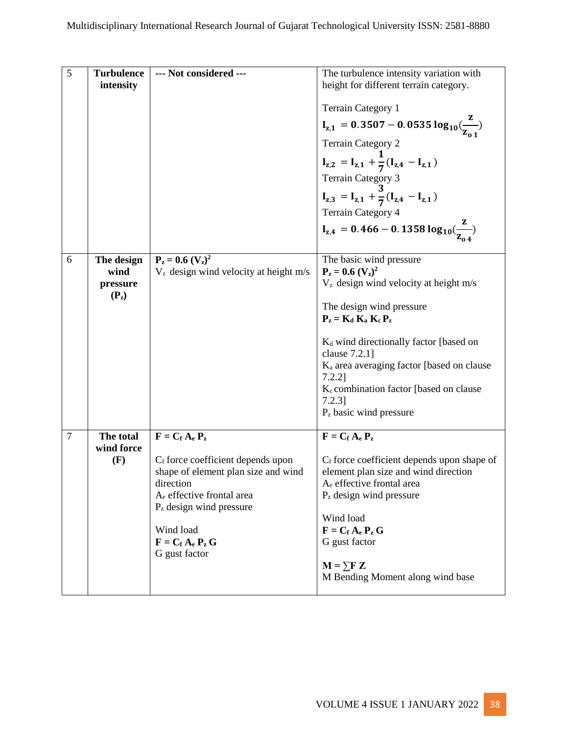| 5              | <b>Turbulence</b><br>intensity            | --- Not considered ---                                                                                                                                                                                                                                                       | The turbulence intensity variation with<br>height for different terrain category.<br><b>Terrain Category 1</b><br>$I_{z,1} = 0.3507 - 0.0535 \log_{10}(\frac{z}{z_{0.1}})$<br><b>Terrain Category 2</b><br>$I_{z,2} = I_{z,1} + \frac{1}{7}(I_{z,4} - I_{z,1})$<br>Terrain Category 3<br>$I_{z,3} = I_{z,1} + \frac{3}{7}(I_{z,4} - I_{z,1})$<br><b>Terrain Category 4</b><br>$I_{z,4} = 0.466 - 0.1358 \log_{10}(\frac{2}{Z_{0.4}})$ |
|----------------|-------------------------------------------|------------------------------------------------------------------------------------------------------------------------------------------------------------------------------------------------------------------------------------------------------------------------------|---------------------------------------------------------------------------------------------------------------------------------------------------------------------------------------------------------------------------------------------------------------------------------------------------------------------------------------------------------------------------------------------------------------------------------------|
| 6              | The design<br>wind<br>pressure<br>$(P_2)$ | $P_z = 0.6 (V_z)^2$<br>$Vz$ design wind velocity at height m/s                                                                                                                                                                                                               | The basic wind pressure<br>$P_z = 0.6 (V_z)^2$<br>$Vz$ design wind velocity at height m/s<br>The design wind pressure<br>$P_z = K_d K_a K_c P_z$<br>$K_d$ wind directionally factor [based on<br>clause $7.2.1$ ]<br>K <sub>a</sub> area averaging factor [based on clause<br>$7.2.2$ ]<br>K <sub>c</sub> combination factor [based on clause<br>$7.2.3$ ]<br>$P_z$ basic wind pressure                                               |
| $\overline{7}$ | The total<br>wind force<br>(F)            | $\mathbf{F} = \mathbf{C_f} \mathbf{A_e} \mathbf{P_z}$<br>$C_f$ force coefficient depends upon<br>shape of element plan size and wind<br>direction<br>A <sub>e</sub> effective frontal area<br>$Pz$ design wind pressure<br>Wind load<br>$F = C_f A_e P_z G$<br>G gust factor | $\mathbf{F} = \mathbf{C_f} \mathbf{A_e} \mathbf{P_z}$<br>$C_f$ force coefficient depends upon shape of<br>element plan size and wind direction<br>A <sub>e</sub> effective frontal area<br>$Pz$ design wind pressure<br>Wind load<br>$\mathbf{F} = \mathbf{C_f} \mathbf{A_e} \mathbf{P_z} \mathbf{G}$<br>G gust factor<br>$M = \sum F Z$<br>M Bending Moment along wind base                                                          |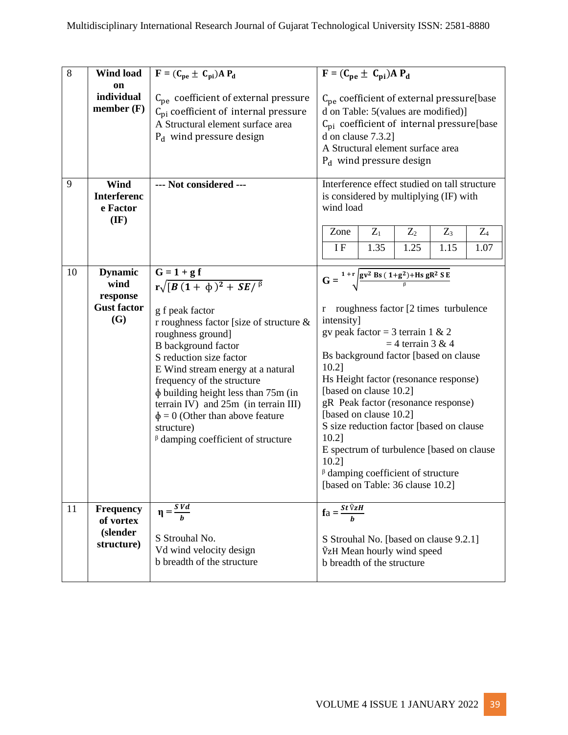| 8  | <b>Wind load</b>                                                       | $\overline{\mathbf{F}} = (\mathbf{C}_{pe} \pm \mathbf{C}_{pi}) \mathbf{A} \mathbf{P}_{d}$                                                                                                                                                                                                                                                                                                                                                                     | $\overline{\mathbf{F}} = (\mathbf{C}_{\mathbf{p}\mathbf{e}} \pm \mathbf{C}_{\mathbf{p}\mathbf{i}}) \mathbf{A} \mathbf{P}_{\mathbf{d}}$                                                                                                                                                                                                                                                                                                                                                                                                                                          |  |  |  |
|----|------------------------------------------------------------------------|---------------------------------------------------------------------------------------------------------------------------------------------------------------------------------------------------------------------------------------------------------------------------------------------------------------------------------------------------------------------------------------------------------------------------------------------------------------|---------------------------------------------------------------------------------------------------------------------------------------------------------------------------------------------------------------------------------------------------------------------------------------------------------------------------------------------------------------------------------------------------------------------------------------------------------------------------------------------------------------------------------------------------------------------------------|--|--|--|
|    | on<br>individual<br>member $(F)$                                       | $C_{pe}$ coefficient of external pressure<br>$C_{\text{pi}}$ coefficient of internal pressure<br>A Structural element surface area<br>$P_d$ wind pressure design                                                                                                                                                                                                                                                                                              | $C_{pe}$ coefficient of external pressure[base<br>d on Table: 5(values are modified)]<br>$C_{pi}$ coefficient of internal pressure[base<br>d on clause 7.3.2]<br>A Structural element surface area<br>$P_d$ wind pressure design                                                                                                                                                                                                                                                                                                                                                |  |  |  |
| 9  | Wind<br><b>Interferenc</b><br>e Factor<br>$(\mathbf{IF})$              | --- Not considered ---                                                                                                                                                                                                                                                                                                                                                                                                                                        | Interference effect studied on tall structure<br>is considered by multiplying (IF) with<br>wind load<br>$Z_1$<br>Zone<br>$Z_2$<br>$Z_3$<br>$Z_4$<br><b>IF</b><br>1.35<br>1.25<br>1.07<br>1.15                                                                                                                                                                                                                                                                                                                                                                                   |  |  |  |
| 10 | <b>Dynamic</b><br>wind<br>response<br><b>Gust factor</b><br><b>(G)</b> | $\frac{G = 1 + g f}{r \sqrt{[B (1 + \phi)^2 + SE]^{\beta}}}$<br>g f peak factor<br>r roughness factor [size of structure $\&$<br>roughness ground]<br>B background factor<br>S reduction size factor<br>E Wind stream energy at a natural<br>frequency of the structure<br>$\phi$ building height less than 75m (in<br>terrain IV) and 25m (in terrain III)<br>$\phi = 0$ (Other than above feature<br>structure)<br>$\beta$ damping coefficient of structure | $G = {1+r \over 2}$ gv <sup>2</sup> Bs $(1+g^2)$ +Hs gR <sup>2</sup> S E<br>roughness factor [2 times turbulence<br>r<br>intensity]<br>gv peak factor = 3 terrain 1 & 2<br>$=$ 4 terrain 3 & 4<br>Bs background factor [based on clause<br>10.2]<br>Hs Height factor (resonance response)<br>[based on clause 10.2]<br>gR Peak factor (resonance response)<br>[based on clause 10.2]<br>S size reduction factor [based on clause<br>10.2]<br>E spectrum of turbulence [based on clause<br>10.2]<br>$\beta$ damping coefficient of structure<br>[based on Table: 36 clause 10.2] |  |  |  |
| 11 | <b>Frequency</b><br>of vortex<br>(slender<br>structure)                | $\eta = \frac{SVd}{h}$<br>S Strouhal No.<br>Vd wind velocity design<br>b breadth of the structure                                                                                                                                                                                                                                                                                                                                                             | $fa = \frac{St \tilde{V}zH}{h}$<br>S Strouhal No. [based on clause 9.2.1]<br>VzH Mean hourly wind speed<br>b breadth of the structure                                                                                                                                                                                                                                                                                                                                                                                                                                           |  |  |  |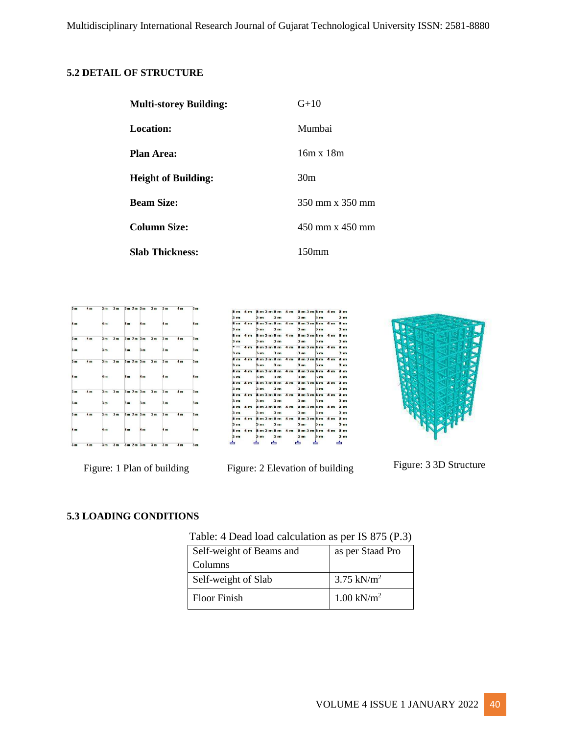#### **5.2 DETAIL OF STRUCTURE**

| <b>Multi-storey Building:</b> | $G+10$            |
|-------------------------------|-------------------|
| Location:                     | Mumbai            |
| <b>Plan Area:</b>             | $16m \times 18m$  |
| <b>Height of Building:</b>    | 30 <sub>m</sub>   |
| <b>Beam Size:</b>             | 350 mm x 350 mm   |
| <b>Column Size:</b>           | 450 mm x 450 mm   |
| <b>Slab Thickness:</b>        | 150 <sub>mm</sub> |







Figure: 1 Plan of building Figure: 2 Elevation of building Figure: 3 3D Structure

#### **5.3 LOADING CONDITIONS**

| Table: 4 Dead load calculation as per IS 875 (P.3) |  |  |  |  |
|----------------------------------------------------|--|--|--|--|
|                                                    |  |  |  |  |

| Self-weight of Beams and | as per Staad Pro         |
|--------------------------|--------------------------|
| Columns                  |                          |
| Self-weight of Slab      | $3.75$ kN/m <sup>2</sup> |
| Floor Finish             | $1.00 \text{ kN/m}^2$    |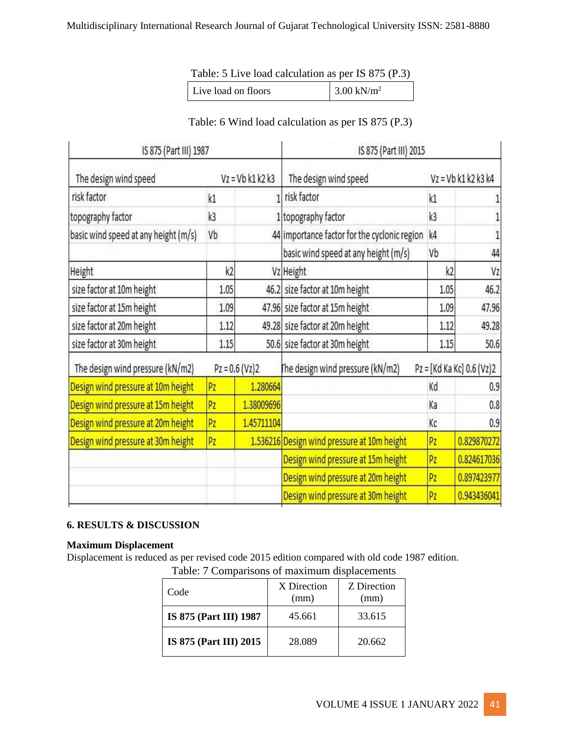#### Multidisciplinary International Research Journal of Gujarat Technological University ISSN: 2581-8880

Table: 5 Live load calculation as per IS 875 (P.3)

| Live load on floors | $3.00$ kN/m <sup>2</sup> |
|---------------------|--------------------------|
|---------------------|--------------------------|

### Table: 6 Wind load calculation as per IS 875 (P.3)

| IS 875 (Part III) 1987               |                |                    | IS 875 (Part III) 2015                       |                |                           |
|--------------------------------------|----------------|--------------------|----------------------------------------------|----------------|---------------------------|
| The design wind speed                |                | $Vz = Vb k1 k2 k3$ | The design wind speed                        |                | $Vz = Vb k1 k2 k3 k4$     |
| risk factor                          | k1             |                    | risk factor                                  | k1             |                           |
| topography factor                    | k <sub>3</sub> |                    | 1 topography factor                          | k <sub>3</sub> |                           |
| basic wind speed at any height (m/s) | Vb             |                    | 44 importance factor for the cyclonic region | k4             |                           |
|                                      |                |                    | basic wind speed at any height (m/s)         | Vb             | 44                        |
| Height                               | k2             |                    | Vz Height                                    | k <sub>2</sub> | Vz                        |
| size factor at 10m height            | 1.05           |                    | 46.2 size factor at 10m height               | 1.05           | 46.2                      |
| size factor at 15m height            | 1.09           |                    | 47.96 size factor at 15m height              | 1.09           | 47.96                     |
| size factor at 20m height            | 1.12           |                    | 49.28 size factor at 20m height              | 1.12           | 49.28                     |
| size factor at 30m height            | 1.15           |                    | 50.6 size factor at 30m height<br>1.15       |                | 50.6                      |
| The design wind pressure (kN/m2)     |                | $Pz = 0.6 (Vz)2$   | The design wind pressure (kN/m2)             |                | Pz = [Kd Ka Kc] 0.6 (Vz)2 |
| Design wind pressure at 10m height   | Pz             | 1.280664           |                                              | Kd             | 0.9                       |
| Design wind pressure at 15m height   | Pz             | 1.38009696         |                                              | Ka             | 0.8                       |
| Design wind pressure at 20m height   | Pz             | 1.45711104         |                                              | Кc             | 0.9                       |
| Design wind pressure at 30m height   | Pz             |                    | 1.536216 Design wind pressure at 10m height  | Pz             | 0.829870272               |
|                                      |                |                    | Design wind pressure at 15m height           | Pz             | 0.824617036               |
|                                      |                |                    | Design wind pressure at 20m height           | Pz             | 0.897423977               |
|                                      |                |                    | Design wind pressure at 30m height           | Pz             | 0.943436041               |

#### **6. RESULTS & DISCUSSION**

#### **Maximum Displacement**

Displacement is reduced as per revised code 2015 edition compared with old code 1987 edition.

| Code                          | X Direction<br>(mm) | Z Direction<br>(mm) |
|-------------------------------|---------------------|---------------------|
| <b>IS 875 (Part III) 1987</b> | 45.661              | 33.615              |
| IS 875 (Part III) 2015        | 28.089              | 20.662              |

Table: 7 Comparisons of maximum displacements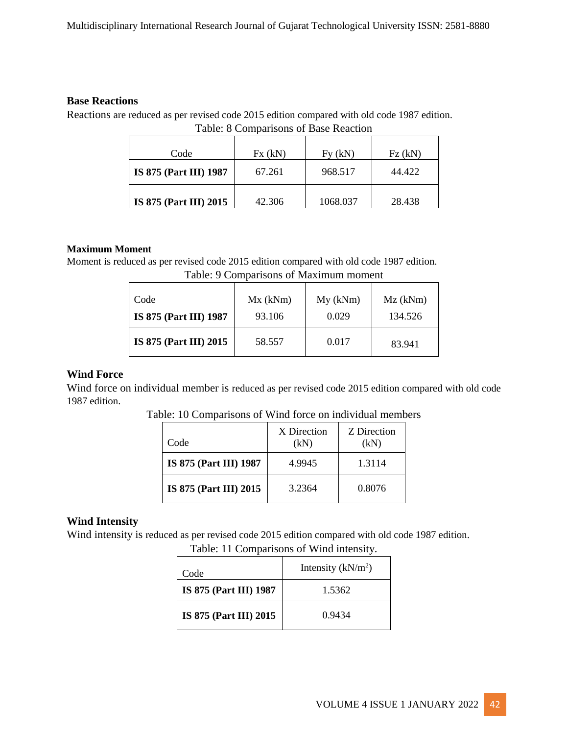#### **Base Reactions**

Reactions are reduced as per revised code 2015 edition compared with old code 1987 edition. Table: 8 Comparisons of Base Reaction

| Code                          | Fx(kN) | Fy (kN)  | Fz(kN) |
|-------------------------------|--------|----------|--------|
| IS 875 (Part III) 1987        | 67.261 | 968.517  | 44.422 |
| <b>IS 875 (Part III) 2015</b> | 42.306 | 1068.037 | 28.438 |

#### **Maximum Moment**

Moment is reduced as per revised code 2015 edition compared with old code 1987 edition.

| Code                   | Mx (kNm) | My (kNm) | $Mz$ (kNm) |
|------------------------|----------|----------|------------|
| IS 875 (Part III) 1987 | 93.106   | 0.029    | 134.526    |
| IS 875 (Part III) 2015 | 58.557   | 0.017    | 83.941     |

Table: 9 Comparisons of Maximum moment

#### **Wind Force**

Wind force on individual member is reduced as per revised code 2015 edition compared with old code 1987 edition.

|  |  | Table: 10 Comparisons of Wind force on individual members |  |  |  |  |
|--|--|-----------------------------------------------------------|--|--|--|--|
|  |  |                                                           |  |  |  |  |

| Code                          | X Direction<br>(kN) | Z Direction<br>(kN) |
|-------------------------------|---------------------|---------------------|
| <b>IS 875 (Part III) 1987</b> | 4.9945              | 1.3114              |
| <b>IS 875 (Part III) 2015</b> | 3.2364              | 0.8076              |

#### **Wind Intensity**

Wind intensity is reduced as per revised code 2015 edition compared with old code 1987 edition.

| Code                   | Intensity $(kN/m2)$ |
|------------------------|---------------------|
| IS 875 (Part III) 1987 | 1.5362              |
| IS 875 (Part III) 2015 | 0.9434              |